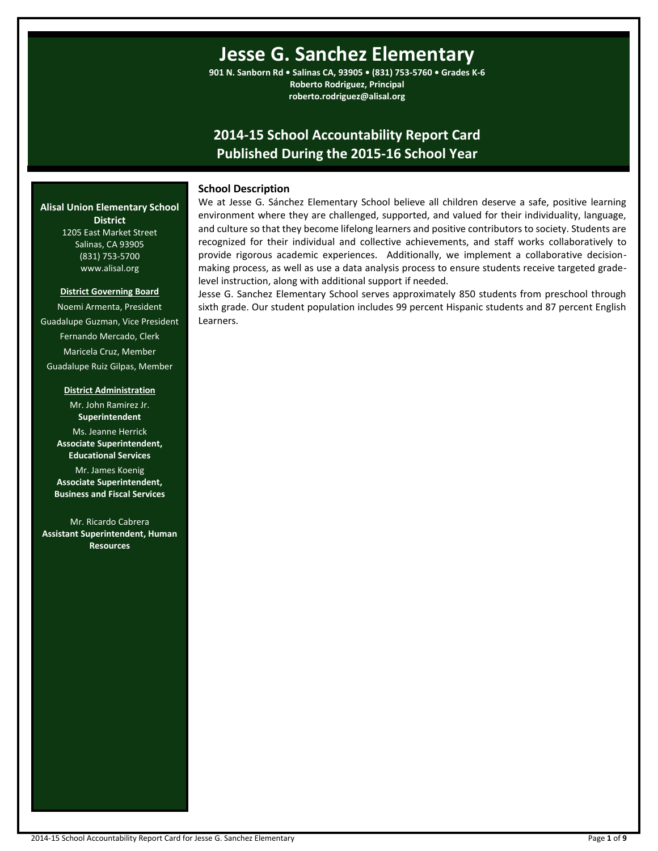# **Jesse G. Sanchez Elementary**

**901 N. Sanborn Rd • Salinas CA, 93905 • (831) 753-5760 • Grades K-6 Roberto Rodriguez, Principal roberto.rodriguez@alisal.org**

# **2014-15 School Accountability Report Card Published During the 2015-16 School Year**

# **School Description**

We at Jesse G. Sánchez Elementary School believe all children deserve a safe, positive learning environment where they are challenged, supported, and valued for their individuality, language, and culture so that they become lifelong learners and positive contributors to society. Students are recognized for their individual and collective achievements, and staff works collaboratively to provide rigorous academic experiences. Additionally, we implement a collaborative decisionmaking process, as well as use a data analysis process to ensure students receive targeted gradelevel instruction, along with additional support if needed.

Jesse G. Sanchez Elementary School serves approximately 850 students from preschool through sixth grade. Our student population includes 99 percent Hispanic students and 87 percent English Learners.

#### **Alisal Union Elementary School District** 1205 East Market Street

Salinas, CA 93905 (831) 753-5700 www.alisal.org

#### **District Governing Board**

Noemi Armenta, President Guadalupe Guzman, Vice President Fernando Mercado, Clerk Maricela Cruz, Member Guadalupe Ruiz Gilpas, Member

#### **District Administration**

Mr. John Ramirez Jr. **Superintendent** Ms. Jeanne Herrick **Associate Superintendent, Educational Services**

Mr. James Koenig **Associate Superintendent, Business and Fiscal Services**

Mr. Ricardo Cabrera **Assistant Superintendent, Human Resources**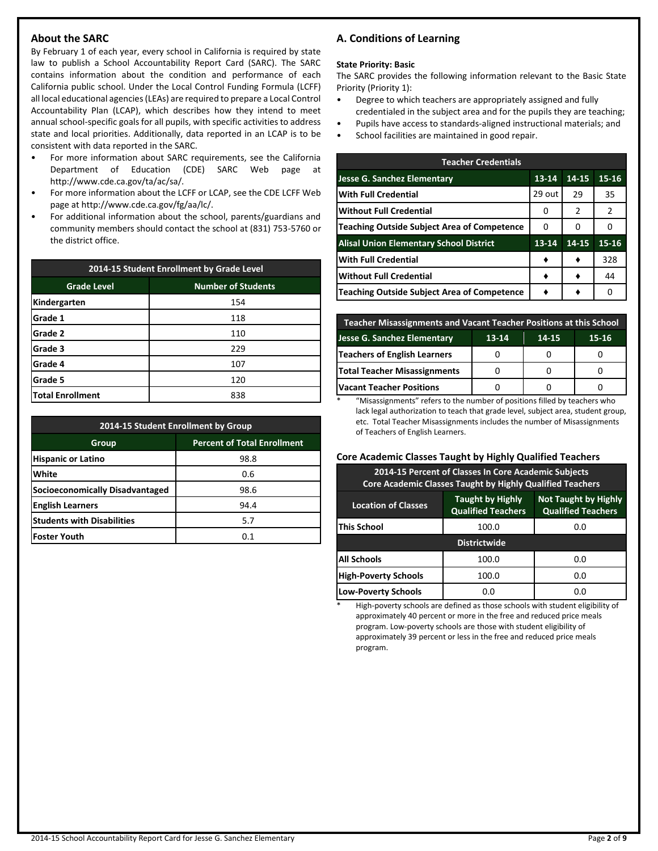# **About the SARC**

By February 1 of each year, every school in California is required by state law to publish a School Accountability Report Card (SARC). The SARC contains information about the condition and performance of each California public school. Under the Local Control Funding Formula (LCFF) all local educational agencies (LEAs) are required to prepare a Local Control Accountability Plan (LCAP), which describes how they intend to meet annual school-specific goals for all pupils, with specific activities to address state and local priorities. Additionally, data reported in an LCAP is to be consistent with data reported in the SARC.

- For more information about SARC requirements, see the California Department of Education (CDE) SARC Web page at http://www.cde.ca.gov/ta/ac/sa/.
- For more information about the LCFF or LCAP, see the CDE LCFF Web page at http://www.cde.ca.gov/fg/aa/lc/.
- For additional information about the school, parents/guardians and community members should contact the school at (831) 753-5760 or the district office.

| 2014-15 Student Enrollment by Grade Level |                           |  |  |  |
|-------------------------------------------|---------------------------|--|--|--|
| <b>Grade Level</b>                        | <b>Number of Students</b> |  |  |  |
| Kindergarten                              | 154                       |  |  |  |
| Grade 1                                   | 118                       |  |  |  |
| Grade 2                                   | 110                       |  |  |  |
| Grade 3                                   | 229                       |  |  |  |
| Grade 4                                   | 107                       |  |  |  |
| Grade 5                                   | 120                       |  |  |  |
| Total Enrollment                          | 838                       |  |  |  |

| 2014-15 Student Enrollment by Group         |      |  |  |  |  |
|---------------------------------------------|------|--|--|--|--|
| <b>Percent of Total Enrollment</b><br>Group |      |  |  |  |  |
| <b>Hispanic or Latino</b>                   | 98.8 |  |  |  |  |
| White                                       | 0.6  |  |  |  |  |
| Socioeconomically Disadvantaged             | 98.6 |  |  |  |  |
| <b>English Learners</b>                     | 94.4 |  |  |  |  |
| <b>Students with Disabilities</b>           | 5.7  |  |  |  |  |
| Foster Youth                                | O 1  |  |  |  |  |

# **A. Conditions of Learning**

#### **State Priority: Basic**

The SARC provides the following information relevant to the Basic State Priority (Priority 1):

- Degree to which teachers are appropriately assigned and fully credentialed in the subject area and for the pupils they are teaching;
- Pupils have access to standards-aligned instructional materials; and
- School facilities are maintained in good repair.

| <b>Teacher Credentials</b>                     |           |       |           |  |  |  |
|------------------------------------------------|-----------|-------|-----------|--|--|--|
| Jesse G. Sanchez Elementary                    | $13 - 14$ | 14-15 | $15 - 16$ |  |  |  |
| <b>With Full Credential</b>                    | 29 out    | 29    | 35        |  |  |  |
| <b>Without Full Credential</b>                 | O         | 2     | 2         |  |  |  |
| Teaching Outside Subject Area of Competence    | 0         | 0     | Ω         |  |  |  |
| <b>Alisal Union Elementary School District</b> | 13-14     | 14-15 | 15-16     |  |  |  |
| <b>With Full Credential</b>                    |           |       | 328       |  |  |  |
| <b>Without Full Credential</b>                 |           |       | 44        |  |  |  |
| Teaching Outside Subject Area of Competence    |           |       | ი         |  |  |  |

| Teacher Misassignments and Vacant Teacher Positions at this School |  |  |  |  |  |  |  |
|--------------------------------------------------------------------|--|--|--|--|--|--|--|
| Jesse G. Sanchez Elementary<br>13-14<br>$15 - 16$<br>14-15         |  |  |  |  |  |  |  |
| Teachers of English Learners                                       |  |  |  |  |  |  |  |
| <b>Total Teacher Misassignments</b>                                |  |  |  |  |  |  |  |
| <b>Vacant Teacher Positions</b>                                    |  |  |  |  |  |  |  |

\* "Misassignments" refers to the number of positions filled by teachers who lack legal authorization to teach that grade level, subject area, student group, etc. Total Teacher Misassignments includes the number of Misassignments of Teachers of English Learners.

# **Core Academic Classes Taught by Highly Qualified Teachers**

| 2014-15 Percent of Classes In Core Academic Subjects<br><b>Core Academic Classes Taught by Highly Qualified Teachers</b>                       |       |     |  |  |  |  |
|------------------------------------------------------------------------------------------------------------------------------------------------|-------|-----|--|--|--|--|
| <b>Taught by Highly</b><br><b>Not Taught by Highly</b><br><b>Location of Classes</b><br><b>Qualified Teachers</b><br><b>Qualified Teachers</b> |       |     |  |  |  |  |
| <b>This School</b><br>100.0<br>0.0                                                                                                             |       |     |  |  |  |  |
| <b>Districtwide</b>                                                                                                                            |       |     |  |  |  |  |
| All Schools                                                                                                                                    | 100.0 | 0.0 |  |  |  |  |
| <b>High-Poverty Schools</b><br>100.0<br>0.0                                                                                                    |       |     |  |  |  |  |
| <b>Low-Poverty Schools</b><br>0.0<br>0.0                                                                                                       |       |     |  |  |  |  |

High-poverty schools are defined as those schools with student eligibility of approximately 40 percent or more in the free and reduced price meals program. Low-poverty schools are those with student eligibility of approximately 39 percent or less in the free and reduced price meals program.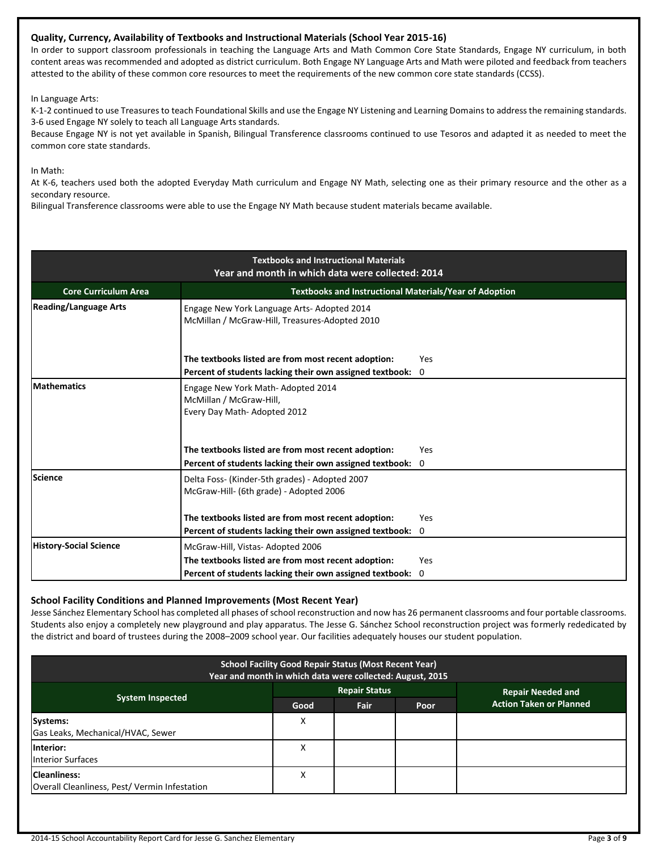# **Quality, Currency, Availability of Textbooks and Instructional Materials (School Year 2015-16)**

In order to support classroom professionals in teaching the Language Arts and Math Common Core State Standards, Engage NY curriculum, in both content areas was recommended and adopted as district curriculum. Both Engage NY Language Arts and Math were piloted and feedback from teachers attested to the ability of these common core resources to meet the requirements of the new common core state standards (CCSS).

In Language Arts:

K-1-2 continued to use Treasures to teach Foundational Skills and use the Engage NY Listening and Learning Domains to address the remaining standards. 3-6 used Engage NY solely to teach all Language Arts standards.

Because Engage NY is not yet available in Spanish, Bilingual Transference classrooms continued to use Tesoros and adapted it as needed to meet the common core state standards.

In Math:

At K-6, teachers used both the adopted Everyday Math curriculum and Engage NY Math, selecting one as their primary resource and the other as a secondary resource.

Bilingual Transference classrooms were able to use the Engage NY Math because student materials became available.

| <b>Textbooks and Instructional Materials</b><br>Year and month in which data were collected: 2014 |                                                                                                                 |            |  |  |  |  |
|---------------------------------------------------------------------------------------------------|-----------------------------------------------------------------------------------------------------------------|------------|--|--|--|--|
| Textbooks and Instructional Materials/Year of Adoption<br><b>Core Curriculum Area</b>             |                                                                                                                 |            |  |  |  |  |
| <b>Reading/Language Arts</b>                                                                      |                                                                                                                 |            |  |  |  |  |
|                                                                                                   | The textbooks listed are from most recent adoption:<br>Percent of students lacking their own assigned textbook: | Yes<br>0   |  |  |  |  |
| <b>Mathematics</b>                                                                                | Engage New York Math-Adopted 2014<br>McMillan / McGraw-Hill,<br>Every Day Math-Adopted 2012                     |            |  |  |  |  |
|                                                                                                   | The textbooks listed are from most recent adoption:<br>Percent of students lacking their own assigned textbook: | Yes<br>0   |  |  |  |  |
| Science                                                                                           | Delta Foss- (Kinder-5th grades) - Adopted 2007<br>McGraw-Hill- (6th grade) - Adopted 2006                       |            |  |  |  |  |
|                                                                                                   | The textbooks listed are from most recent adoption:                                                             | Yes<br>0   |  |  |  |  |
| <b>History-Social Science</b>                                                                     | Percent of students lacking their own assigned textbook:<br>McGraw-Hill, Vistas-Adopted 2006                    |            |  |  |  |  |
|                                                                                                   | The textbooks listed are from most recent adoption:                                                             | <b>Yes</b> |  |  |  |  |
|                                                                                                   | Percent of students lacking their own assigned textbook:                                                        | 0          |  |  |  |  |

# **School Facility Conditions and Planned Improvements (Most Recent Year)**

Jesse Sánchez Elementary School has completed all phases of school reconstruction and now has 26 permanent classrooms and four portable classrooms. Students also enjoy a completely new playground and play apparatus. The Jesse G. Sánchez School reconstruction project was formerly rededicated by the district and board of trustees during the 2008–2009 school year. Our facilities adequately houses our student population.

| <b>School Facility Good Repair Status (Most Recent Year)</b><br>Year and month in which data were collected: August, 2015 |      |                      |      |                                |  |  |
|---------------------------------------------------------------------------------------------------------------------------|------|----------------------|------|--------------------------------|--|--|
|                                                                                                                           |      | <b>Repair Status</b> |      | <b>Repair Needed and</b>       |  |  |
| <b>System Inspected</b>                                                                                                   | Good | Fair                 | Poor | <b>Action Taken or Planned</b> |  |  |
| Systems:<br>Gas Leaks, Mechanical/HVAC, Sewer                                                                             | х    |                      |      |                                |  |  |
| Interior:<br><b>Interior Surfaces</b>                                                                                     | Χ    |                      |      |                                |  |  |
| <b>Cleanliness:</b><br>Overall Cleanliness, Pest/Vermin Infestation                                                       | Χ    |                      |      |                                |  |  |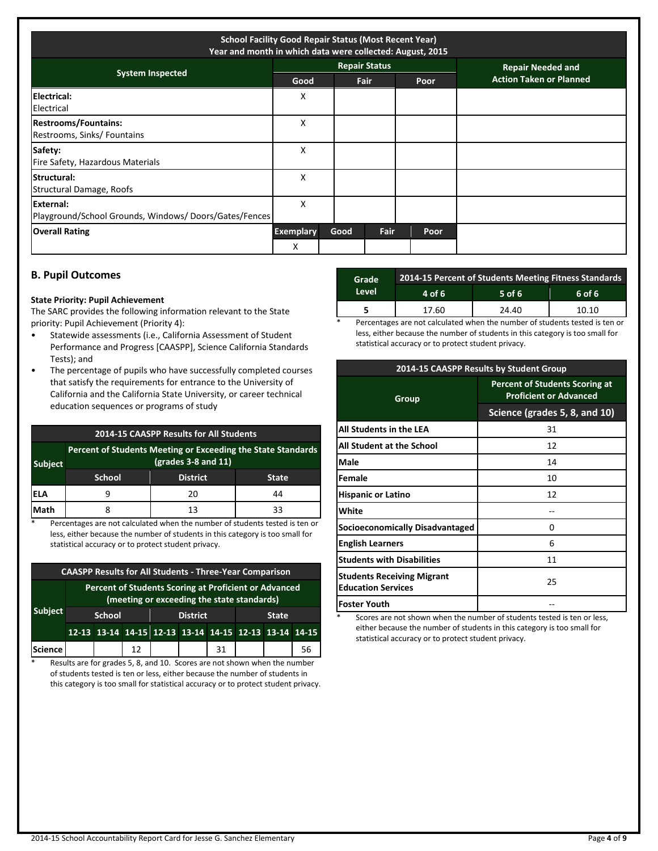| <b>School Facility Good Repair Status (Most Recent Year)</b><br>Year and month in which data were collected: August, 2015 |                  |      |                      |  |      |                                |
|---------------------------------------------------------------------------------------------------------------------------|------------------|------|----------------------|--|------|--------------------------------|
| <b>System Inspected</b>                                                                                                   |                  |      | <b>Repair Status</b> |  |      | <b>Repair Needed and</b>       |
|                                                                                                                           | Good             |      | Fair                 |  | Poor | <b>Action Taken or Planned</b> |
| Electrical:<br>Electrical                                                                                                 | x                |      |                      |  |      |                                |
| <b>Restrooms/Fountains:</b><br>Restrooms, Sinks/ Fountains                                                                | x                |      |                      |  |      |                                |
| Safety:<br>Fire Safety, Hazardous Materials                                                                               | X                |      |                      |  |      |                                |
| Structural:<br>Structural Damage, Roofs                                                                                   | X                |      |                      |  |      |                                |
| External:<br>Playground/School Grounds, Windows/Doors/Gates/Fences                                                        | x                |      |                      |  |      |                                |
| <b>Overall Rating</b>                                                                                                     | <b>Exemplary</b> | Good | Fair                 |  | Poor |                                |
|                                                                                                                           | X                |      |                      |  |      |                                |

# **B. Pupil Outcomes**

#### **State Priority: Pupil Achievement**

The SARC provides the following information relevant to the State priority: Pupil Achievement (Priority 4):

- Statewide assessments (i.e., California Assessment of Student Performance and Progress [CAASPP], Science California Standards Tests); and
- The percentage of pupils who have successfully completed courses that satisfy the requirements for entrance to the University of California and the California State University, or career technical education sequences or programs of study

|                | 2014-15 CAASPP Results for All Students                                                                            |                 |              |  |  |  |
|----------------|--------------------------------------------------------------------------------------------------------------------|-----------------|--------------|--|--|--|
| <b>Subject</b> | Percent of Students Meeting or Exceeding the State Standards<br>$\left(\frac{\text{grades}}{3} - 8\right)$ and 11) |                 |              |  |  |  |
|                | <b>School</b>                                                                                                      | <b>District</b> | <b>State</b> |  |  |  |
| IELA           | q                                                                                                                  | 20              | 44           |  |  |  |
| Math           |                                                                                                                    | 13              | 33           |  |  |  |

Percentages are not calculated when the number of students tested is ten or less, either because the number of students in this category is too small for statistical accuracy or to protect student privacy.

| <b>CAASPP Results for All Students - Three-Year Comparison</b> |                                                                                                     |  |    |                 |                                                       |              |  |  |    |
|----------------------------------------------------------------|-----------------------------------------------------------------------------------------------------|--|----|-----------------|-------------------------------------------------------|--------------|--|--|----|
|                                                                | Percent of Students Scoring at Proficient or Advanced<br>(meeting or exceeding the state standards) |  |    |                 |                                                       |              |  |  |    |
| <b>Subject</b>                                                 | <b>School</b>                                                                                       |  |    | <b>District</b> |                                                       | <b>State</b> |  |  |    |
|                                                                |                                                                                                     |  |    |                 | 12-13 13-14 14-15 12-13 13-14 14-15 12-13 13-14 14-15 |              |  |  |    |
| <b>Science</b>                                                 |                                                                                                     |  | 12 |                 |                                                       | 31           |  |  | 56 |

\* Results are for grades 5, 8, and 10. Scores are not shown when the number of students tested is ten or less, either because the number of students in this category is too small for statistical accuracy or to protect student privacy.

| Grade | 2014-15 Percent of Students Meeting Fitness Standards |          |        |  |  |  |
|-------|-------------------------------------------------------|----------|--------|--|--|--|
| Level | 4 of 6                                                | $5$ of 6 | 6 of 6 |  |  |  |
|       | 17.60                                                 | 24.40    | 10.10  |  |  |  |
|       |                                                       | $-$      | $\sim$ |  |  |  |

Percentages are not calculated when the number of students tested is ten or less, either because the number of students in this category is too small for statistical accuracy or to protect student privacy.

| 2014-15 CAASPP Results by Student Group                        |                                                                        |  |  |  |
|----------------------------------------------------------------|------------------------------------------------------------------------|--|--|--|
| Group                                                          | <b>Percent of Students Scoring at</b><br><b>Proficient or Advanced</b> |  |  |  |
|                                                                | Science (grades 5, 8, and 10)                                          |  |  |  |
| All Students in the LEA                                        | 31                                                                     |  |  |  |
| All Student at the School                                      | 12                                                                     |  |  |  |
| Male                                                           | 14                                                                     |  |  |  |
| <b>Female</b>                                                  | 10                                                                     |  |  |  |
| <b>Hispanic or Latino</b>                                      | 12                                                                     |  |  |  |
| White                                                          |                                                                        |  |  |  |
| Socioeconomically Disadvantaged                                | n                                                                      |  |  |  |
| <b>English Learners</b>                                        | 6                                                                      |  |  |  |
| <b>Students with Disabilities</b>                              | 11                                                                     |  |  |  |
| <b>Students Receiving Migrant</b><br><b>Education Services</b> | 25                                                                     |  |  |  |
| <b>Foster Youth</b>                                            |                                                                        |  |  |  |

Scores are not shown when the number of students tested is ten or less, either because the number of students in this category is too small for statistical accuracy or to protect student privacy.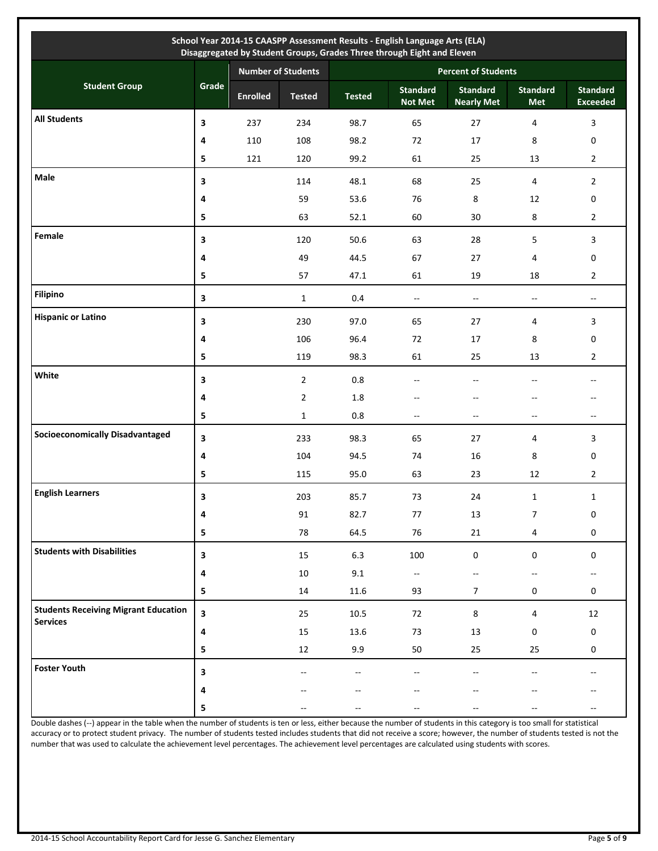| School Year 2014-15 CAASPP Assessment Results - English Language Arts (ELA)<br>Disaggregated by Student Groups, Grades Three through Eight and Eleven |                         |                 |                           |                            |                                   |                                      |                               |                                                     |  |
|-------------------------------------------------------------------------------------------------------------------------------------------------------|-------------------------|-----------------|---------------------------|----------------------------|-----------------------------------|--------------------------------------|-------------------------------|-----------------------------------------------------|--|
|                                                                                                                                                       |                         |                 | <b>Number of Students</b> | <b>Percent of Students</b> |                                   |                                      |                               |                                                     |  |
| <b>Student Group</b>                                                                                                                                  | Grade                   | <b>Enrolled</b> | <b>Tested</b>             | <b>Tested</b>              | <b>Standard</b><br><b>Not Met</b> | <b>Standard</b><br><b>Nearly Met</b> | <b>Standard</b><br><b>Met</b> | <b>Standard</b><br><b>Exceeded</b>                  |  |
| <b>All Students</b>                                                                                                                                   | 3                       | 237             | 234                       | 98.7                       | 65                                | 27                                   | 4                             | $\overline{\mathbf{3}}$                             |  |
|                                                                                                                                                       | 4                       | 110             | 108                       | 98.2                       | 72                                | 17                                   | 8                             | 0                                                   |  |
|                                                                                                                                                       | 5                       | 121             | 120                       | 99.2                       | 61                                | 25                                   | 13                            | $\overline{2}$                                      |  |
| Male                                                                                                                                                  | 3                       |                 | 114                       | 48.1                       | 68                                | 25                                   | 4                             | $\overline{2}$                                      |  |
|                                                                                                                                                       | 4                       |                 | 59                        | 53.6                       | 76                                | 8                                    | 12                            | 0                                                   |  |
|                                                                                                                                                       | 5                       |                 | 63                        | 52.1                       | 60                                | 30                                   | 8                             | $\overline{2}$                                      |  |
| Female                                                                                                                                                | 3                       |                 | 120                       | 50.6                       | 63                                | 28                                   | 5                             | $\mathbf{3}$                                        |  |
|                                                                                                                                                       | 4                       |                 | 49                        | 44.5                       | 67                                | 27                                   | 4                             | 0                                                   |  |
|                                                                                                                                                       | 5                       |                 | 57                        | 47.1                       | 61                                | 19                                   | 18                            | $\overline{2}$                                      |  |
| <b>Filipino</b>                                                                                                                                       | 3                       |                 | $\mathbf{1}$              | 0.4                        | $\overline{\phantom{a}}$          | $\mathbf{u}$                         | $\overline{\phantom{a}}$      | $\overline{\phantom{a}}$                            |  |
| <b>Hispanic or Latino</b>                                                                                                                             | 3                       |                 | 230                       | 97.0                       | 65                                | 27                                   | 4                             | 3                                                   |  |
|                                                                                                                                                       | 4                       |                 | 106                       | 96.4                       | 72                                | 17                                   | 8                             | 0                                                   |  |
|                                                                                                                                                       | 5                       |                 | 119                       | 98.3                       | 61                                | 25                                   | 13                            | $\overline{2}$                                      |  |
| White                                                                                                                                                 | 3                       |                 | $\overline{2}$            | $0.8\,$                    | $- -$                             | $\overline{\phantom{a}}$             |                               | $\hspace{0.05cm} -\hspace{0.05cm} -\hspace{0.05cm}$ |  |
|                                                                                                                                                       | 4                       |                 | $\overline{2}$            | 1.8                        | $- -$                             | $-\, -$                              | --                            | $\hspace{0.05cm}$                                   |  |
|                                                                                                                                                       | 5                       |                 | $\mathbf{1}$              | 0.8                        | $\overline{\phantom{a}}$          | $\overline{\phantom{a}}$             | $- -$                         | $\overline{\phantom{a}}$                            |  |
| <b>Socioeconomically Disadvantaged</b>                                                                                                                | 3                       |                 | 233                       | 98.3                       | 65                                | 27                                   | 4                             | 3                                                   |  |
|                                                                                                                                                       | 4                       |                 | 104                       | 94.5                       | 74                                | 16                                   | 8                             | 0                                                   |  |
|                                                                                                                                                       | 5                       |                 | 115                       | 95.0                       | 63                                | 23                                   | 12                            | $\overline{2}$                                      |  |
| <b>English Learners</b>                                                                                                                               | 3                       |                 | 203                       | 85.7                       | 73                                | 24                                   | $\mathbf{1}$                  | $\mathbf{1}$                                        |  |
|                                                                                                                                                       | 4                       |                 | 91                        | 82.7                       | $77\,$                            | 13                                   | $\overline{7}$                | $\pmb{0}$                                           |  |
|                                                                                                                                                       | 5                       |                 | 78                        | 64.5                       | 76                                | 21                                   | 4                             | $\boldsymbol{0}$                                    |  |
| <b>Students with Disabilities</b>                                                                                                                     | 3                       |                 | 15                        | 6.3                        | 100                               | $\boldsymbol{0}$                     | 0                             | $\boldsymbol{0}$                                    |  |
|                                                                                                                                                       | 4                       |                 | $10\,$                    | 9.1                        | $\mathcal{L}_{\mathcal{F}}$       | $\mathcal{L}_{\mathcal{F}}$          | $-$                           | $\overline{\phantom{a}}$                            |  |
|                                                                                                                                                       | 5                       |                 | 14                        | 11.6                       | 93                                | $\overline{7}$                       | $\mathbf 0$                   | 0                                                   |  |
| <b>Students Receiving Migrant Education</b>                                                                                                           | $\overline{\mathbf{3}}$ |                 | 25                        | 10.5                       | 72                                | $\bf 8$                              | $\overline{4}$                | 12                                                  |  |
| <b>Services</b>                                                                                                                                       | 4                       |                 | 15                        | 13.6                       | 73                                | $13\,$                               | 0                             | $\pmb{0}$                                           |  |
|                                                                                                                                                       | 5                       |                 | 12                        | 9.9                        | 50                                | 25                                   | 25                            | $\mathbf 0$                                         |  |
| <b>Foster Youth</b>                                                                                                                                   | 3                       |                 | $-$                       | --                         | $-$                               | $\overline{\phantom{a}}$             |                               | $-$                                                 |  |
|                                                                                                                                                       | 4                       |                 |                           | --                         | $-$                               | $-$                                  | $-$                           | $\overline{\phantom{a}}$                            |  |
|                                                                                                                                                       | 5                       |                 | $-$                       | $\overline{\phantom{a}}$   | $-$                               | $-$                                  | $-$                           | $\overline{\phantom{a}}$                            |  |

Double dashes (--) appear in the table when the number of students is ten or less, either because the number of students in this category is too small for statistical accuracy or to protect student privacy. The number of students tested includes students that did not receive a score; however, the number of students tested is not the number that was used to calculate the achievement level percentages. The achievement level percentages are calculated using students with scores.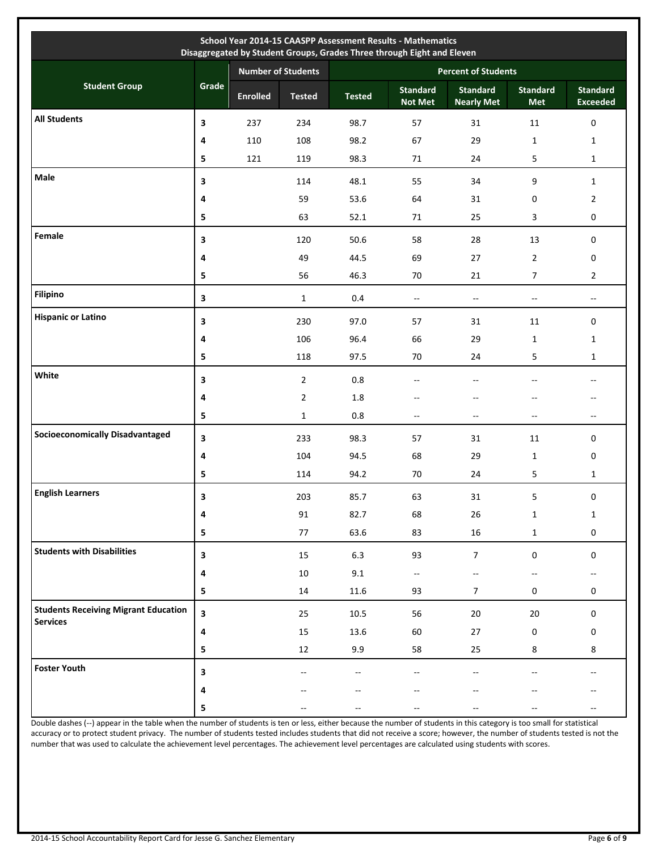| School Year 2014-15 CAASPP Assessment Results - Mathematics<br>Disaggregated by Student Groups, Grades Three through Eight and Eleven |                         |                           |                |                            |                                   |                                      |                               |                                                     |  |
|---------------------------------------------------------------------------------------------------------------------------------------|-------------------------|---------------------------|----------------|----------------------------|-----------------------------------|--------------------------------------|-------------------------------|-----------------------------------------------------|--|
|                                                                                                                                       |                         | <b>Number of Students</b> |                | <b>Percent of Students</b> |                                   |                                      |                               |                                                     |  |
| <b>Student Group</b>                                                                                                                  | Grade                   | <b>Enrolled</b>           | <b>Tested</b>  | <b>Tested</b>              | <b>Standard</b><br><b>Not Met</b> | <b>Standard</b><br><b>Nearly Met</b> | <b>Standard</b><br><b>Met</b> | <b>Standard</b><br><b>Exceeded</b>                  |  |
| <b>All Students</b>                                                                                                                   | 3                       | 237                       | 234            | 98.7                       | 57                                | 31                                   | 11                            | $\pmb{0}$                                           |  |
|                                                                                                                                       | 4                       | 110                       | 108            | 98.2                       | 67                                | 29                                   | $\mathbf{1}$                  | $\mathbf{1}$                                        |  |
|                                                                                                                                       | 5                       | 121                       | 119            | 98.3                       | 71                                | 24                                   | 5                             | $\mathbf{1}$                                        |  |
| Male                                                                                                                                  | 3                       |                           | 114            | 48.1                       | 55                                | 34                                   | 9                             | $\mathbf{1}$                                        |  |
|                                                                                                                                       | 4                       |                           | 59             | 53.6                       | 64                                | 31                                   | 0                             | $\overline{2}$                                      |  |
|                                                                                                                                       | 5                       |                           | 63             | 52.1                       | 71                                | 25                                   | 3                             | 0                                                   |  |
| Female                                                                                                                                | 3                       |                           | 120            | 50.6                       | 58                                | 28                                   | 13                            | $\mathbf 0$                                         |  |
|                                                                                                                                       | 4                       |                           | 49             | 44.5                       | 69                                | 27                                   | $\overline{2}$                | 0                                                   |  |
|                                                                                                                                       | 5                       |                           | 56             | 46.3                       | 70                                | 21                                   | $\overline{7}$                | $\overline{2}$                                      |  |
| <b>Filipino</b>                                                                                                                       | 3                       |                           | $\mathbf{1}$   | 0.4                        | $\overline{\phantom{a}}$          | $\mathcal{L}_{\mathcal{F}}$          | $\overline{\phantom{a}}$      | $\overline{\phantom{a}}$                            |  |
| <b>Hispanic or Latino</b>                                                                                                             | 3                       |                           | 230            | 97.0                       | 57                                | 31                                   | 11                            | $\mathbf 0$                                         |  |
|                                                                                                                                       | 4                       |                           | 106            | 96.4                       | 66                                | 29                                   | $\mathbf{1}$                  | $\mathbf{1}$                                        |  |
|                                                                                                                                       | 5                       |                           | 118            | 97.5                       | 70                                | 24                                   | 5                             | $\mathbf{1}$                                        |  |
| White                                                                                                                                 | 3                       |                           | $\overline{2}$ | $0.8\,$                    | $-$                               | $\overline{\phantom{a}}$             | $-$                           | $\sim$ $\sim$                                       |  |
|                                                                                                                                       | 4                       |                           | $\overline{2}$ | 1.8                        | $- -$                             | $\overline{\phantom{a}}$             | $-$                           | $-$                                                 |  |
|                                                                                                                                       | 5                       |                           | $\mathbf{1}$   | 0.8                        | $-$                               | $-$                                  | $\overline{a}$                | $\overline{\phantom{a}}$                            |  |
| <b>Socioeconomically Disadvantaged</b>                                                                                                | 3                       |                           | 233            | 98.3                       | 57                                | 31                                   | 11                            | $\mathbf 0$                                         |  |
|                                                                                                                                       | 4                       |                           | 104            | 94.5                       | 68                                | 29                                   | $\mathbf{1}$                  | 0                                                   |  |
|                                                                                                                                       | 5                       |                           | 114            | 94.2                       | 70                                | 24                                   | 5                             | $\mathbf{1}$                                        |  |
| <b>English Learners</b>                                                                                                               | 3                       |                           | 203            | 85.7                       | 63                                | 31                                   | 5                             | 0                                                   |  |
|                                                                                                                                       | 4                       |                           | 91             | 82.7                       | 68                                | 26                                   | $\mathbf{1}$                  | $\mathbf{1}$                                        |  |
|                                                                                                                                       | 5                       |                           | 77             | 63.6                       | 83                                | $16\,$                               | $\mathbf{1}$                  | $\mathsf{O}\xspace$                                 |  |
| <b>Students with Disabilities</b>                                                                                                     | 3                       |                           | 15             | 6.3                        | 93                                | $\overline{7}$                       | $\boldsymbol{0}$              | $\mathbf 0$                                         |  |
|                                                                                                                                       | 4                       |                           | 10             | 9.1                        | ۰.                                | $\overline{\phantom{a}}$             | --                            | $\hspace{0.05cm} -\hspace{0.05cm} -\hspace{0.05cm}$ |  |
|                                                                                                                                       | 5                       |                           | 14             | 11.6                       | 93                                | $\overline{7}$                       | $\mathbf 0$                   | 0                                                   |  |
| <b>Students Receiving Migrant Education</b><br><b>Services</b>                                                                        | $\overline{\mathbf{3}}$ |                           | 25             | 10.5                       | 56                                | 20                                   | 20                            | $\mathsf 0$                                         |  |
|                                                                                                                                       | 4                       |                           | 15             | 13.6                       | 60                                | 27                                   | 0                             | $\boldsymbol{0}$                                    |  |
|                                                                                                                                       | 5                       |                           | 12             | 9.9                        | 58                                | 25                                   | 8                             | 8                                                   |  |
| <b>Foster Youth</b>                                                                                                                   | 3                       |                           | --             | --                         | $-$                               | $-$                                  |                               | $\overline{\phantom{a}}$                            |  |
|                                                                                                                                       | 4                       |                           |                | --                         |                                   |                                      |                               |                                                     |  |
|                                                                                                                                       | 5                       |                           |                | --                         |                                   |                                      |                               | $\overline{\phantom{a}}$                            |  |

Double dashes (--) appear in the table when the number of students is ten or less, either because the number of students in this category is too small for statistical accuracy or to protect student privacy. The number of students tested includes students that did not receive a score; however, the number of students tested is not the number that was used to calculate the achievement level percentages. The achievement level percentages are calculated using students with scores.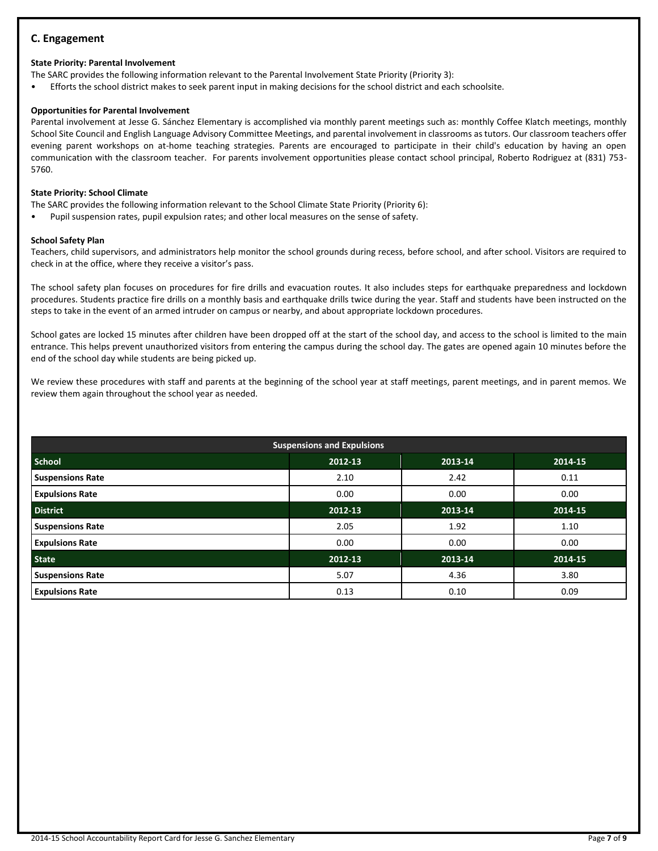# **C. Engagement**

# **State Priority: Parental Involvement**

- The SARC provides the following information relevant to the Parental Involvement State Priority (Priority 3):
- Efforts the school district makes to seek parent input in making decisions for the school district and each schoolsite.

# **Opportunities for Parental Involvement**

Parental involvement at Jesse G. Sánchez Elementary is accomplished via monthly parent meetings such as: monthly Coffee Klatch meetings, monthly School Site Council and English Language Advisory Committee Meetings, and parental involvement in classrooms as tutors. Our classroom teachers offer evening parent workshops on at-home teaching strategies. Parents are encouraged to participate in their child's education by having an open communication with the classroom teacher. For parents involvement opportunities please contact school principal, Roberto Rodriguez at (831) 753- 5760.

## **State Priority: School Climate**

The SARC provides the following information relevant to the School Climate State Priority (Priority 6):

• Pupil suspension rates, pupil expulsion rates; and other local measures on the sense of safety.

#### **School Safety Plan**

Teachers, child supervisors, and administrators help monitor the school grounds during recess, before school, and after school. Visitors are required to check in at the office, where they receive a visitor's pass.

The school safety plan focuses on procedures for fire drills and evacuation routes. It also includes steps for earthquake preparedness and lockdown procedures. Students practice fire drills on a monthly basis and earthquake drills twice during the year. Staff and students have been instructed on the steps to take in the event of an armed intruder on campus or nearby, and about appropriate lockdown procedures.

School gates are locked 15 minutes after children have been dropped off at the start of the school day, and access to the school is limited to the main entrance. This helps prevent unauthorized visitors from entering the campus during the school day. The gates are opened again 10 minutes before the end of the school day while students are being picked up.

We review these procedures with staff and parents at the beginning of the school year at staff meetings, parent meetings, and in parent memos. We review them again throughout the school year as needed.

| <b>Suspensions and Expulsions</b> |         |         |         |  |  |  |  |
|-----------------------------------|---------|---------|---------|--|--|--|--|
| <b>School</b>                     | 2012-13 | 2013-14 | 2014-15 |  |  |  |  |
| <b>Suspensions Rate</b>           | 2.10    | 2.42    | 0.11    |  |  |  |  |
| <b>Expulsions Rate</b>            | 0.00    | 0.00    | 0.00    |  |  |  |  |
| <b>District</b>                   | 2012-13 | 2013-14 | 2014-15 |  |  |  |  |
| <b>Suspensions Rate</b>           | 2.05    | 1.92    | 1.10    |  |  |  |  |
| <b>Expulsions Rate</b>            | 0.00    | 0.00    | 0.00    |  |  |  |  |
| <b>State</b>                      | 2012-13 | 2013-14 | 2014-15 |  |  |  |  |
| <b>Suspensions Rate</b>           | 5.07    | 4.36    | 3.80    |  |  |  |  |
| <b>Expulsions Rate</b>            | 0.13    | 0.10    | 0.09    |  |  |  |  |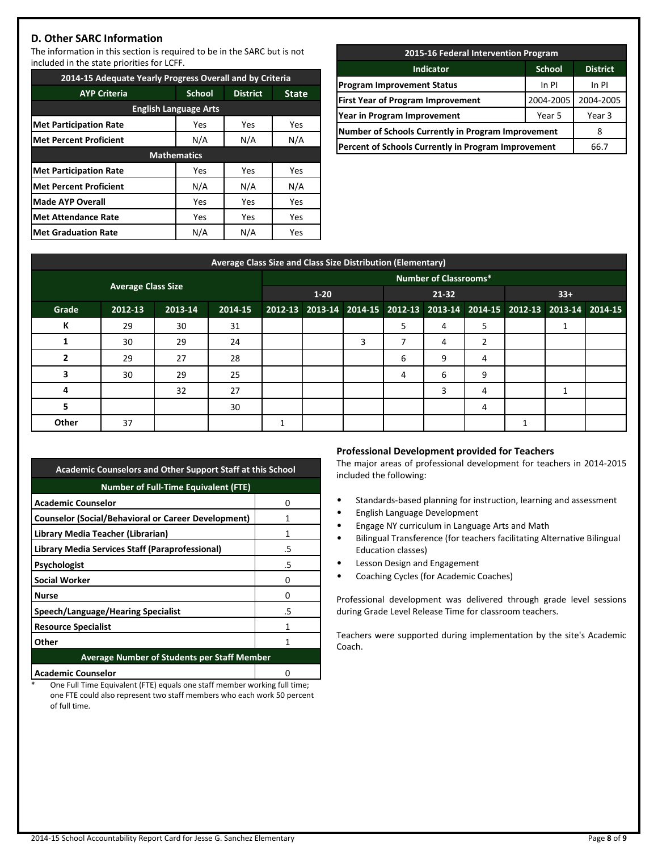# **D. Other SARC Information**

The information in this section is required to be in the SARC but is not included in the state priorities for LCFF.

| 2014-15 Adequate Yearly Progress Overall and by Criteria |                    |                 |              |  |  |  |  |  |
|----------------------------------------------------------|--------------------|-----------------|--------------|--|--|--|--|--|
| <b>AYP Criteria</b>                                      | <b>School</b>      | <b>District</b> | <b>State</b> |  |  |  |  |  |
| <b>English Language Arts</b>                             |                    |                 |              |  |  |  |  |  |
| <b>Met Participation Rate</b>                            | Yes                | Yes             | Yes          |  |  |  |  |  |
| <b>Met Percent Proficient</b>                            | N/A                | N/A<br>N/A      |              |  |  |  |  |  |
|                                                          | <b>Mathematics</b> |                 |              |  |  |  |  |  |
| <b>Met Participation Rate</b>                            | Yes                | Yes             | Yes          |  |  |  |  |  |
| <b>Met Percent Proficient</b>                            | N/A                | N/A             | N/A          |  |  |  |  |  |
| Made AYP Overall                                         | Yes                | Yes             | Yes          |  |  |  |  |  |
| <b>Met Attendance Rate</b>                               | Yes                | Yes             | Yes          |  |  |  |  |  |
| <b>Met Graduation Rate</b>                               | N/A                | N/A             | Yes          |  |  |  |  |  |

| 2015-16 Federal Intervention Program                      |                 |  |  |  |  |  |  |
|-----------------------------------------------------------|-----------------|--|--|--|--|--|--|
| <b>Indicator</b>                                          | <b>District</b> |  |  |  |  |  |  |
| <b>Program Improvement Status</b>                         | In PI           |  |  |  |  |  |  |
| <b>First Year of Program Improvement</b>                  | 2004-2005       |  |  |  |  |  |  |
| Year in Program Improvement                               | Year 3          |  |  |  |  |  |  |
| <b>Number of Schools Currently in Program Improvement</b> |                 |  |  |  |  |  |  |
| Percent of Schools Currently in Program Improvement       | 66.7            |  |  |  |  |  |  |
|                                                           |                 |  |  |  |  |  |  |

| Average Class Size and Class Size Distribution (Elementary) |         |         |         |                              |  |   |                                                                         |   |   |       |  |  |
|-------------------------------------------------------------|---------|---------|---------|------------------------------|--|---|-------------------------------------------------------------------------|---|---|-------|--|--|
|                                                             |         |         |         | <b>Number of Classrooms*</b> |  |   |                                                                         |   |   |       |  |  |
| <b>Average Class Size</b>                                   |         |         |         | $1 - 20$                     |  |   | 21-32                                                                   |   |   | $33+$ |  |  |
| Grade                                                       | 2012-13 | 2013-14 | 2014-15 |                              |  |   | 2012-13 2013-14 2014-15 2012-13 2013-14 2014-15 2012-13 2013-14 2014-15 |   |   |       |  |  |
| К                                                           | 29      | 30      | 31      |                              |  |   | 5                                                                       | 4 | 5 |       |  |  |
|                                                             | 30      | 29      | 24      |                              |  | 3 | ∍                                                                       | 4 | 2 |       |  |  |
|                                                             | 29      | 27      | 28      |                              |  |   | 6                                                                       | 9 | 4 |       |  |  |
| 3                                                           | 30      | 29      | 25      |                              |  |   | 4                                                                       | 6 | 9 |       |  |  |
| 4                                                           |         | 32      | 27      |                              |  |   |                                                                         | 3 | 4 |       |  |  |
| 5                                                           |         |         | 30      |                              |  |   |                                                                         |   | 4 |       |  |  |
| Other                                                       | 37      |         |         |                              |  |   |                                                                         |   |   |       |  |  |

| <b>Academic Counselors and Other Support Staff at this School</b> |    |  |  |  |  |  |
|-------------------------------------------------------------------|----|--|--|--|--|--|
| <b>Number of Full-Time Equivalent (FTE)</b>                       |    |  |  |  |  |  |
| <b>Academic Counselor</b>                                         | 0  |  |  |  |  |  |
| <b>Counselor (Social/Behavioral or Career Development)</b>        | 1  |  |  |  |  |  |
| Library Media Teacher (Librarian)                                 | 1  |  |  |  |  |  |
| Library Media Services Staff (Paraprofessional)                   | .5 |  |  |  |  |  |
| <b>Psychologist</b>                                               | .5 |  |  |  |  |  |
| <b>Social Worker</b>                                              | 0  |  |  |  |  |  |
| <b>Nurse</b>                                                      | 0  |  |  |  |  |  |
| Speech/Language/Hearing Specialist                                | .5 |  |  |  |  |  |
| <b>Resource Specialist</b>                                        | 1  |  |  |  |  |  |
| Other                                                             | 1  |  |  |  |  |  |
| <b>Average Number of Students per Staff Member</b>                |    |  |  |  |  |  |
| <b>Academic Counselor</b>                                         |    |  |  |  |  |  |

One Full Time Equivalent (FTE) equals one staff member working full time; one FTE could also represent two staff members who each work 50 percent of full time.

#### **Professional Development provided for Teachers**

The major areas of professional development for teachers in 2014-2015 included the following:

- Standards-based planning for instruction, learning and assessment
- English Language Development
- Engage NY curriculum in Language Arts and Math
- Bilingual Transference (for teachers facilitating Alternative Bilingual Education classes)
- Lesson Design and Engagement
- Coaching Cycles (for Academic Coaches)

Professional development was delivered through grade level sessions during Grade Level Release Time for classroom teachers.

Teachers were supported during implementation by the site's Academic Coach.